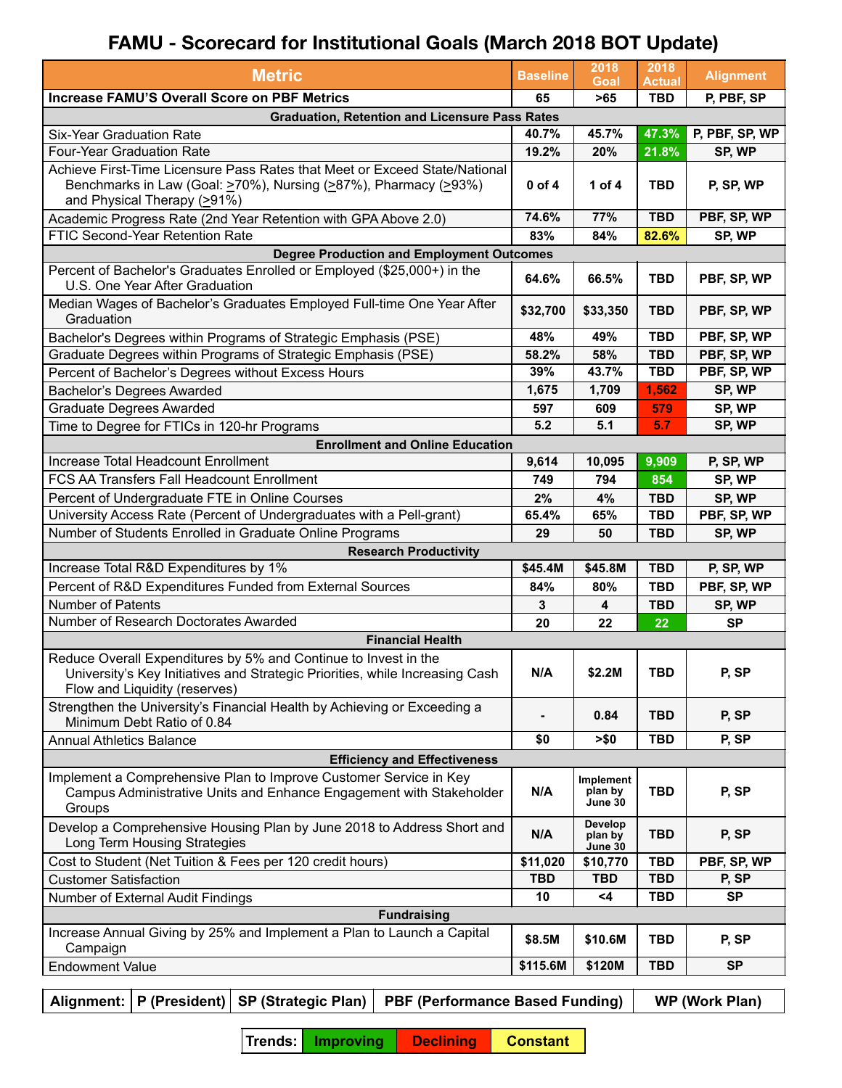## **FAMU - Scorecard for Institutional Goals (March 2018 BOT Update)**

| <b>Metric</b>                                                                                                                                                                                    | <b>Baseline</b> | 2018<br>Goal                           | 2018<br><b>Actual</b> | <b>Alignment</b> |  |  |  |  |  |  |
|--------------------------------------------------------------------------------------------------------------------------------------------------------------------------------------------------|-----------------|----------------------------------------|-----------------------|------------------|--|--|--|--|--|--|
| <b>Increase FAMU'S Overall Score on PBF Metrics</b>                                                                                                                                              | 65              | >65                                    | <b>TBD</b>            | P, PBF, SP       |  |  |  |  |  |  |
| <b>Graduation, Retention and Licensure Pass Rates</b>                                                                                                                                            |                 |                                        |                       |                  |  |  |  |  |  |  |
| <b>Six-Year Graduation Rate</b>                                                                                                                                                                  | 40.7%           | 45.7%                                  | 47.3%                 | P, PBF, SP, WP   |  |  |  |  |  |  |
| <b>Four-Year Graduation Rate</b>                                                                                                                                                                 | 19.2%           | 20%                                    | 21.8%                 | SP, WP           |  |  |  |  |  |  |
| Achieve First-Time Licensure Pass Rates that Meet or Exceed State/National<br>Benchmarks in Law (Goal: $\geq$ 70%), Nursing ( $\geq$ 87%), Pharmacy ( $\geq$ 93%)<br>and Physical Therapy (>91%) | 0 of 4          | 1 of 4                                 | <b>TBD</b>            | P, SP, WP        |  |  |  |  |  |  |
| Academic Progress Rate (2nd Year Retention with GPA Above 2.0)                                                                                                                                   | 74.6%           | 77%                                    | <b>TBD</b>            | PBF, SP, WP      |  |  |  |  |  |  |
| FTIC Second-Year Retention Rate                                                                                                                                                                  | 83%             | 84%                                    | 82.6%                 | SP, WP           |  |  |  |  |  |  |
| <b>Degree Production and Employment Outcomes</b>                                                                                                                                                 |                 |                                        |                       |                  |  |  |  |  |  |  |
| Percent of Bachelor's Graduates Enrolled or Employed (\$25,000+) in the<br>U.S. One Year After Graduation                                                                                        | 64.6%           | 66.5%                                  | <b>TBD</b>            | PBF, SP, WP      |  |  |  |  |  |  |
| Median Wages of Bachelor's Graduates Employed Full-time One Year After<br>Graduation                                                                                                             | \$32,700        | \$33,350                               | <b>TBD</b>            | PBF, SP, WP      |  |  |  |  |  |  |
| Bachelor's Degrees within Programs of Strategic Emphasis (PSE)                                                                                                                                   | 48%             | 49%                                    | <b>TBD</b>            | PBF, SP, WP      |  |  |  |  |  |  |
| Graduate Degrees within Programs of Strategic Emphasis (PSE)                                                                                                                                     | 58.2%           | 58%                                    | <b>TBD</b>            | PBF, SP, WP      |  |  |  |  |  |  |
| Percent of Bachelor's Degrees without Excess Hours                                                                                                                                               | 39%             | 43.7%                                  | <b>TBD</b>            | PBF, SP, WP      |  |  |  |  |  |  |
| Bachelor's Degrees Awarded                                                                                                                                                                       | 1,675           | 1,709                                  | 1,562                 | SP, WP           |  |  |  |  |  |  |
| <b>Graduate Degrees Awarded</b>                                                                                                                                                                  | 597             | 609                                    | 579                   | SP, WP           |  |  |  |  |  |  |
| Time to Degree for FTICs in 120-hr Programs                                                                                                                                                      | 5.2             | 5.1                                    | 5.7                   | SP, WP           |  |  |  |  |  |  |
| <b>Enrollment and Online Education</b>                                                                                                                                                           |                 |                                        |                       |                  |  |  |  |  |  |  |
| Increase Total Headcount Enrollment                                                                                                                                                              | 9,614           | 10,095                                 | 9,909                 | P, SP, WP        |  |  |  |  |  |  |
| FCS AA Transfers Fall Headcount Enrollment                                                                                                                                                       | 749             | 794                                    | 854                   | SP, WP           |  |  |  |  |  |  |
| Percent of Undergraduate FTE in Online Courses                                                                                                                                                   | 2%              | 4%                                     | TBD                   | SP, WP           |  |  |  |  |  |  |
| University Access Rate (Percent of Undergraduates with a Pell-grant)                                                                                                                             | 65.4%           | 65%                                    | <b>TBD</b>            | PBF, SP, WP      |  |  |  |  |  |  |
| Number of Students Enrolled in Graduate Online Programs                                                                                                                                          | 29              | 50                                     | <b>TBD</b>            | SP, WP           |  |  |  |  |  |  |
| <b>Research Productivity</b>                                                                                                                                                                     |                 |                                        |                       |                  |  |  |  |  |  |  |
| Increase Total R&D Expenditures by 1%                                                                                                                                                            | \$45.4M         | \$45.8M                                | <b>TBD</b>            | P, SP, WP        |  |  |  |  |  |  |
| Percent of R&D Expenditures Funded from External Sources                                                                                                                                         | 84%             | 80%                                    | <b>TBD</b>            | PBF, SP, WP      |  |  |  |  |  |  |
| <b>Number of Patents</b>                                                                                                                                                                         | 3               | 4                                      | <b>TBD</b>            | SP, WP           |  |  |  |  |  |  |
| Number of Research Doctorates Awarded                                                                                                                                                            | 20              | 22                                     | 22                    | <b>SP</b>        |  |  |  |  |  |  |
| <b>Financial Health</b>                                                                                                                                                                          |                 |                                        |                       |                  |  |  |  |  |  |  |
| Reduce Overall Expenditures by 5% and Continue to Invest in the<br>University's Key Initiatives and Strategic Priorities, while Increasing Cash<br>Flow and Liquidity (reserves)                 | N/A             | \$2.2M                                 | <b>TBD</b>            | P, SP            |  |  |  |  |  |  |
| Strengthen the University's Financial Health by Achieving or Exceeding a<br>Minimum Debt Ratio of 0.84                                                                                           |                 | 0.84                                   | <b>TBD</b>            | P, SP            |  |  |  |  |  |  |
| <b>Annual Athletics Balance</b>                                                                                                                                                                  | \$0             | > \$0                                  | <b>TBD</b>            | P, SP            |  |  |  |  |  |  |
| <b>Efficiency and Effectiveness</b>                                                                                                                                                              |                 |                                        |                       |                  |  |  |  |  |  |  |
| Implement a Comprehensive Plan to Improve Customer Service in Key<br>Campus Administrative Units and Enhance Engagement with Stakeholder<br>Groups                                               | N/A             | <b>Implement</b><br>plan by<br>June 30 | <b>TBD</b>            | P, SP            |  |  |  |  |  |  |
| Develop a Comprehensive Housing Plan by June 2018 to Address Short and<br>Long Term Housing Strategies                                                                                           | N/A             | Develop<br>plan by<br>June 30          | <b>TBD</b>            | P, SP            |  |  |  |  |  |  |
| Cost to Student (Net Tuition & Fees per 120 credit hours)                                                                                                                                        | \$11,020        | \$10,770                               | <b>TBD</b>            | PBF, SP, WP      |  |  |  |  |  |  |
| <b>Customer Satisfaction</b>                                                                                                                                                                     | <b>TBD</b>      | <b>TBD</b>                             | <b>TBD</b>            | P, SP            |  |  |  |  |  |  |
| Number of External Audit Findings                                                                                                                                                                | 10              | $<$ 4                                  | <b>TBD</b>            | <b>SP</b>        |  |  |  |  |  |  |
| <b>Fundraising</b>                                                                                                                                                                               |                 |                                        |                       |                  |  |  |  |  |  |  |
| Increase Annual Giving by 25% and Implement a Plan to Launch a Capital<br>Campaign                                                                                                               | \$8.5M          | \$10.6M                                | <b>TBD</b>            | P, SP            |  |  |  |  |  |  |
| <b>Endowment Value</b>                                                                                                                                                                           | \$115.6M        | \$120M                                 | <b>TBD</b>            | <b>SP</b>        |  |  |  |  |  |  |

Alignment:  $|P$  (President) SP (Strategic Plan) PBF (Performance Based Funding) WP (Work Plan)